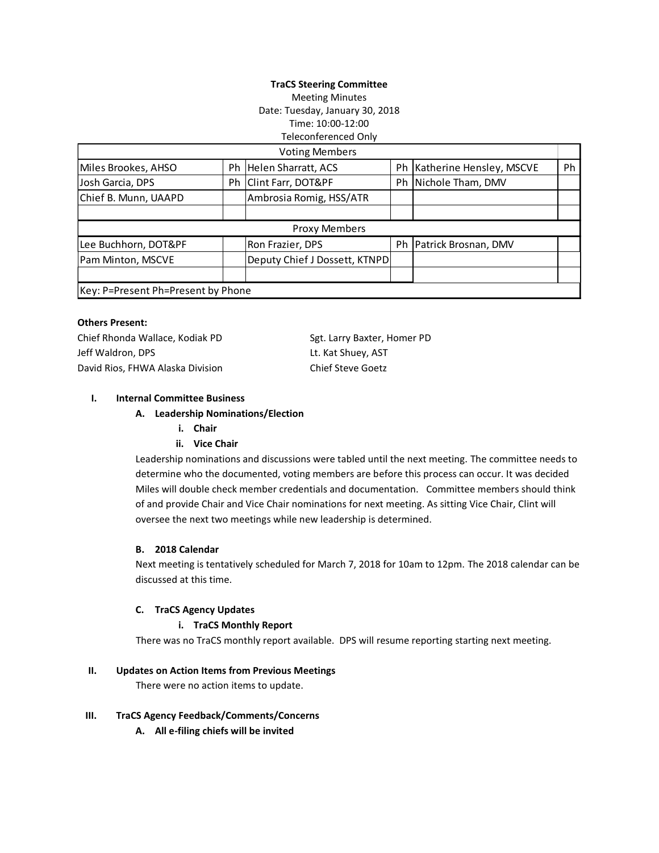# **TraCS Steering Committee** Meeting Minutes Date: Tuesday, January 30, 2018 Time: 10:00-12:00 Teleconferenced Only

|                                    |  | <b>Voting Members</b>         |    |                          |    |
|------------------------------------|--|-------------------------------|----|--------------------------|----|
| Miles Brookes, AHSO                |  | Ph Helen Sharratt, ACS        | Ph | Katherine Hensley, MSCVE | Ph |
| Josh Garcia, DPS                   |  | Ph Clint Farr, DOT&PF         | Ph | Nichole Tham, DMV        |    |
| Chief B. Munn, UAAPD               |  | Ambrosia Romig, HSS/ATR       |    |                          |    |
|                                    |  |                               |    |                          |    |
| Proxy Members                      |  |                               |    |                          |    |
| Lee Buchhorn, DOT&PF               |  | Ron Frazier, DPS              | Ph | Patrick Brosnan, DMV     |    |
| Pam Minton, MSCVE                  |  | Deputy Chief J Dossett, KTNPD |    |                          |    |
|                                    |  |                               |    |                          |    |
| Key: P=Present Ph=Present by Phone |  |                               |    |                          |    |

## **Others Present:**

Chief Rhonda Wallace, Kodiak PD Sgt. Larry Baxter, Homer PD Jeff Waldron, DPS **Let Example 20 Fig. 2018** Lt. Kat Shuey, AST David Rios, FHWA Alaska Division Chief Steve Goetz

# **I. Internal Committee Business**

#### **A. Leadership Nominations/Election**

**i. Chair**

#### **ii. Vice Chair**

Leadership nominations and discussions were tabled until the next meeting. The committee needs to determine who the documented, voting members are before this process can occur. It was decided Miles will double check member credentials and documentation. Committee members should think of and provide Chair and Vice Chair nominations for next meeting. As sitting Vice Chair, Clint will oversee the next two meetings while new leadership is determined.

#### **B. 2018 Calendar**

Next meeting is tentatively scheduled for March 7, 2018 for 10am to 12pm. The 2018 calendar can be discussed at this time.

# **C. TraCS Agency Updates**

# **i. TraCS Monthly Report**

There was no TraCS monthly report available. DPS will resume reporting starting next meeting.

### **II. Updates on Action Items from Previous Meetings**

There were no action items to update.

#### **III. TraCS Agency Feedback/Comments/Concerns**

**A. All e-filing chiefs will be invited**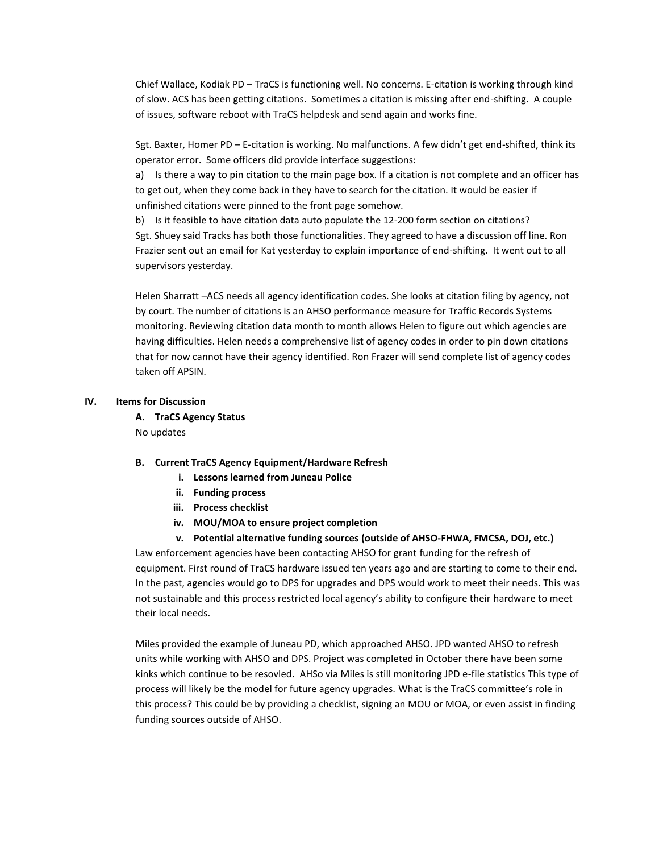Chief Wallace, Kodiak PD – TraCS is functioning well. No concerns. E-citation is working through kind of slow. ACS has been getting citations. Sometimes a citation is missing after end-shifting. A couple of issues, software reboot with TraCS helpdesk and send again and works fine.

Sgt. Baxter, Homer PD – E-citation is working. No malfunctions. A few didn't get end-shifted, think its operator error. Some officers did provide interface suggestions:

a) Is there a way to pin citation to the main page box. If a citation is not complete and an officer has to get out, when they come back in they have to search for the citation. It would be easier if unfinished citations were pinned to the front page somehow.

b) Is it feasible to have citation data auto populate the 12-200 form section on citations? Sgt. Shuey said Tracks has both those functionalities. They agreed to have a discussion off line. Ron Frazier sent out an email for Kat yesterday to explain importance of end-shifting. It went out to all supervisors yesterday.

Helen Sharratt –ACS needs all agency identification codes. She looks at citation filing by agency, not by court. The number of citations is an AHSO performance measure for Traffic Records Systems monitoring. Reviewing citation data month to month allows Helen to figure out which agencies are having difficulties. Helen needs a comprehensive list of agency codes in order to pin down citations that for now cannot have their agency identified. Ron Frazer will send complete list of agency codes taken off APSIN.

# **IV. Items for Discussion**

**A. TraCS Agency Status** No updates

# **B. Current TraCS Agency Equipment/Hardware Refresh**

- **i. Lessons learned from Juneau Police**
- **ii. Funding process**
- **iii. Process checklist**
- **iv. MOU/MOA to ensure project completion**
- **v. Potential alternative funding sources (outside of AHSO-FHWA, FMCSA, DOJ, etc.)**

Law enforcement agencies have been contacting AHSO for grant funding for the refresh of equipment. First round of TraCS hardware issued ten years ago and are starting to come to their end. In the past, agencies would go to DPS for upgrades and DPS would work to meet their needs. This was not sustainable and this process restricted local agency's ability to configure their hardware to meet their local needs.

Miles provided the example of Juneau PD, which approached AHSO. JPD wanted AHSO to refresh units while working with AHSO and DPS. Project was completed in October there have been some kinks which continue to be resovled. AHSo via Miles is still monitoring JPD e-file statistics This type of process will likely be the model for future agency upgrades. What is the TraCS committee's role in this process? This could be by providing a checklist, signing an MOU or MOA, or even assist in finding funding sources outside of AHSO.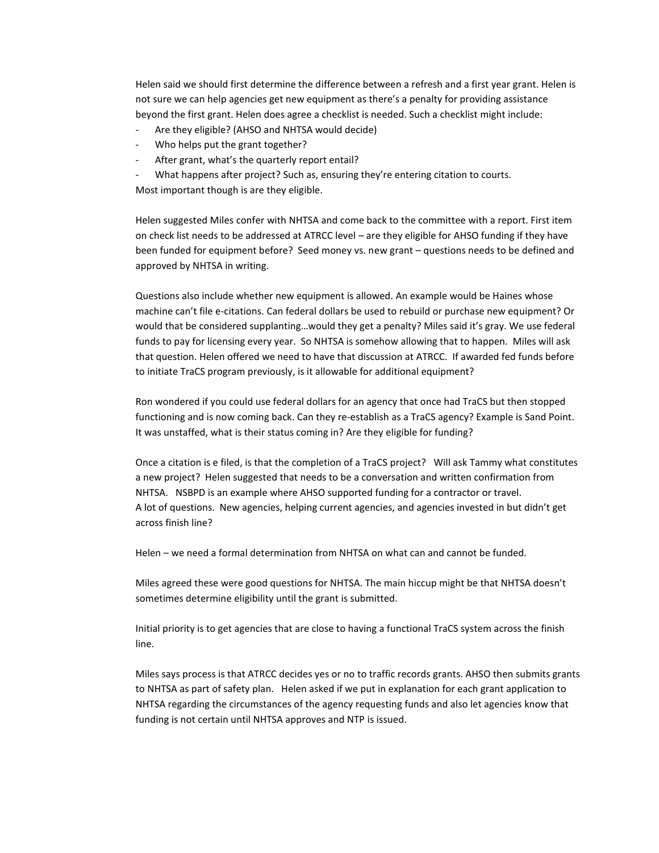Helen said we should first determine the difference between a refresh and a first year grant. Helen is not sure we can help agencies get new equipment as there's a penalty for providing assistance beyond the first grant. Helen does agree a checklist is needed. Such a checklist might include:

- Are they eligible? (AHSO and NHTSA would decide)
- Who helps put the grant together?
- After grant, what's the quarterly report entail?
- What happens after project? Such as, ensuring they're entering citation to courts.

Most important though is are they eligible.

Helen suggested Miles confer with NHTSA and come back to the committee with a report. First item on check list needs to be addressed at ATRCC level – are they eligible for AHSO funding if they have been funded for equipment before? Seed money vs. new grant – questions needs to be defined and approved by NHTSA in writing.

Questions also include whether new equipment is allowed. An example would be Haines whose machine can't file e-citations. Can federal dollars be used to rebuild or purchase new equipment? Or would that be considered supplanting…would they get a penalty? Miles said it's gray. We use federal funds to pay for licensing every year. So NHTSA is somehow allowing that to happen. Miles will ask that question. Helen offered we need to have that discussion at ATRCC. If awarded fed funds before to initiate TraCS program previously, is it allowable for additional equipment?

Ron wondered if you could use federal dollars for an agency that once had TraCS but then stopped functioning and is now coming back. Can they re-establish as a TraCS agency? Example is Sand Point. It was unstaffed, what is their status coming in? Are they eligible for funding?

Once a citation is e filed, is that the completion of a TraCS project? Will ask Tammy what constitutes a new project? Helen suggested that needs to be a conversation and written confirmation from NHTSA. NSBPD is an example where AHSO supported funding for a contractor or travel. A lot of questions. New agencies, helping current agencies, and agencies invested in but didn't get across finish line?

Helen – we need a formal determination from NHTSA on what can and cannot be funded.

Miles agreed these were good questions for NHTSA. The main hiccup might be that NHTSA doesn't sometimes determine eligibility until the grant is submitted.

Initial priority is to get agencies that are close to having a functional TraCS system across the finish line.

Miles says process is that ATRCC decides yes or no to traffic records grants. AHSO then submits grants to NHTSA as part of safety plan. Helen asked if we put in explanation for each grant application to NHTSA regarding the circumstances of the agency requesting funds and also let agencies know that funding is not certain until NHTSA approves and NTP is issued.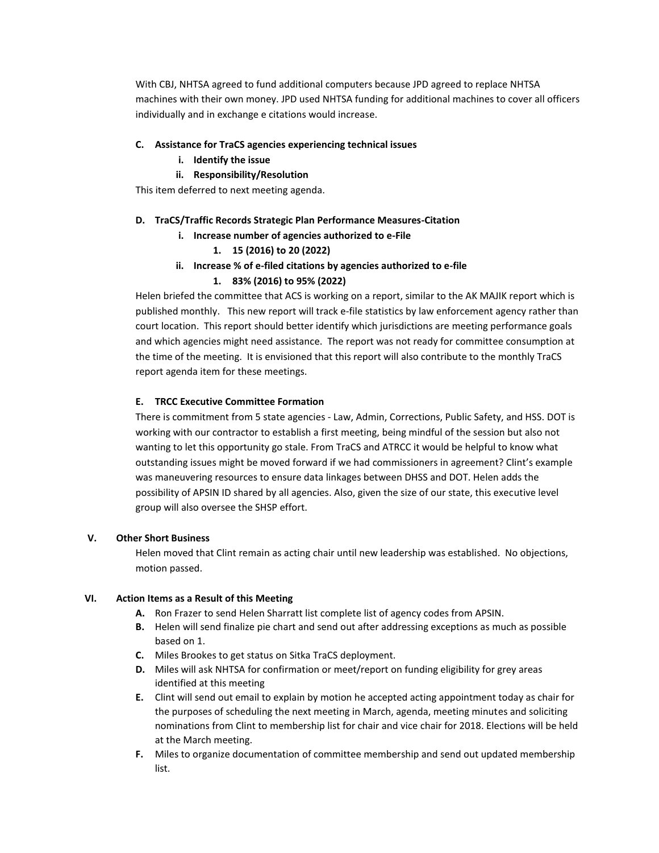With CBJ, NHTSA agreed to fund additional computers because JPD agreed to replace NHTSA machines with their own money. JPD used NHTSA funding for additional machines to cover all officers individually and in exchange e citations would increase.

# **C. Assistance for TraCS agencies experiencing technical issues**

- **i. Identify the issue**
- **ii. Responsibility/Resolution**

This item deferred to next meeting agenda.

## **D. TraCS/Traffic Records Strategic Plan Performance Measures-Citation**

- **i. Increase number of agencies authorized to e-File**
	- **1. 15 (2016) to 20 (2022)**
- **ii. Increase % of e-filed citations by agencies authorized to e-file**

## **1. 83% (2016) to 95% (2022)**

Helen briefed the committee that ACS is working on a report, similar to the AK MAJIK report which is published monthly. This new report will track e-file statistics by law enforcement agency rather than court location. This report should better identify which jurisdictions are meeting performance goals and which agencies might need assistance. The report was not ready for committee consumption at the time of the meeting. It is envisioned that this report will also contribute to the monthly TraCS report agenda item for these meetings.

# **E. TRCC Executive Committee Formation**

There is commitment from 5 state agencies - Law, Admin, Corrections, Public Safety, and HSS. DOT is working with our contractor to establish a first meeting, being mindful of the session but also not wanting to let this opportunity go stale. From TraCS and ATRCC it would be helpful to know what outstanding issues might be moved forward if we had commissioners in agreement? Clint's example was maneuvering resources to ensure data linkages between DHSS and DOT. Helen adds the possibility of APSIN ID shared by all agencies. Also, given the size of our state, this executive level group will also oversee the SHSP effort.

#### **V. Other Short Business**

Helen moved that Clint remain as acting chair until new leadership was established. No objections, motion passed.

### **VI. Action Items as a Result of this Meeting**

- **A.** Ron Frazer to send Helen Sharratt list complete list of agency codes from APSIN.
- **B.** Helen will send finalize pie chart and send out after addressing exceptions as much as possible based on 1.
- **C.** Miles Brookes to get status on Sitka TraCS deployment.
- **D.** Miles will ask NHTSA for confirmation or meet/report on funding eligibility for grey areas identified at this meeting
- **E.** Clint will send out email to explain by motion he accepted acting appointment today as chair for the purposes of scheduling the next meeting in March, agenda, meeting minutes and soliciting nominations from Clint to membership list for chair and vice chair for 2018. Elections will be held at the March meeting.
- **F.** Miles to organize documentation of committee membership and send out updated membership list.